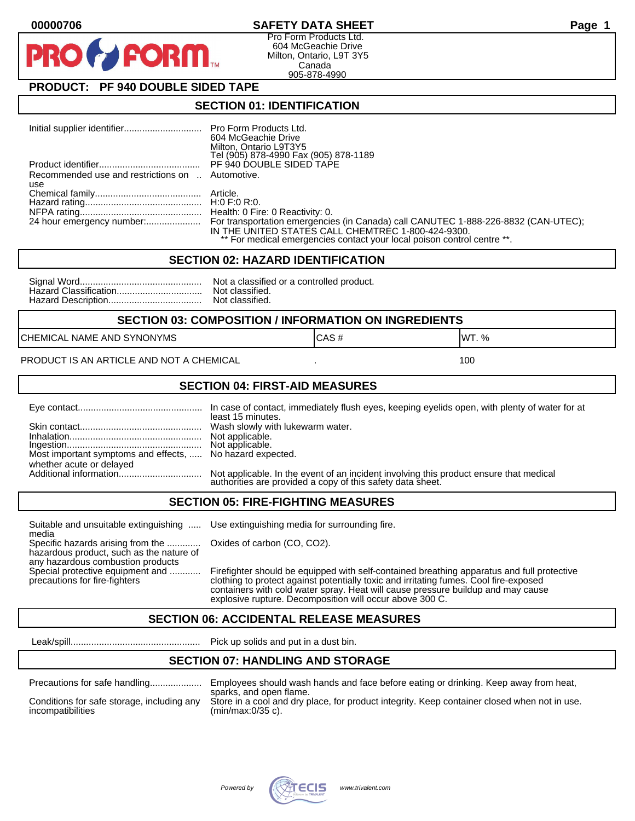## **00000706 SAFETY DATA SHEET Page 1**

Pro Form Products Ltd. 604 McGeachie Drive Milton, Ontario, L9T 3Y5 Canada 905-878-4990

# **PRODUCT: PF 940 DOUBLE SIDED TAPE**

**FORM** 

### **SECTION 01: IDENTIFICATION**

|                                                         | <b>Pro Form Products Ltd.</b><br>604 McGeachie Drive<br>Milton, Ontario L9T3Y5<br>Tel (905) 878-4990 Fax (905) 878-1189                                                                                             |
|---------------------------------------------------------|---------------------------------------------------------------------------------------------------------------------------------------------------------------------------------------------------------------------|
|                                                         | PF 940 DOUBLE SIDED TAPE                                                                                                                                                                                            |
| Recommended use and restrictions on  Automotive.<br>use |                                                                                                                                                                                                                     |
|                                                         |                                                                                                                                                                                                                     |
|                                                         | Health: 0 Fire: 0 Reactivity: 0.                                                                                                                                                                                    |
|                                                         | For transportation emergencies (in Canada) call CANUTEC 1-888-226-8832 (CAN-UTEC);<br>IN THE UNITED STATES CALL CHEMTREC 1-800-424-9300.<br>** For medical emergencies contact your local poison control centre **. |

#### **SECTION 02: HAZARD IDENTIFICATION**

| Nο |
|----|
| No |
| No |

It a classified or a controlled product. t classified. t classified.

#### **SECTION 03: COMPOSITION / INFORMATION ON INGREDIENTS**

CHEMICAL NAME AND SYNONYMS GAS AND CAS # CAS # WT. %

PRODUCT IS AN ARTICLE AND NOT A CHEMICAL **AND THE SET AND A SET ALL ASSAULT** 100

### **SECTION 04: FIRST-AID MEASURES**

|                                                                                       | In case of contact, immediately flush eyes, keeping eyelids open, with plenty of water for at<br>least 15 minutes.                                   |
|---------------------------------------------------------------------------------------|------------------------------------------------------------------------------------------------------------------------------------------------------|
|                                                                                       |                                                                                                                                                      |
| Most important symptoms and effects,  No hazard expected.<br>whether acute or delayed |                                                                                                                                                      |
|                                                                                       | Not applicable. In the event of an incident involving this product ensure that medical<br>authorities are provided a copy of this safety data sheet. |

### **SECTION 05: FIRE-FIGHTING MEASURES**

Suitable and unsuitable extinguishing ..... Use extinguishing media for surrounding fire. media

Specific hazards arising from the ............. Oxides of carbon (CO, CO2). hazardous product, such as the nature of any hazardous combustion products

Special protective equipment and ............ Firefighter should be equipped with self-contained breathing apparatus and full protective<br>precautions for fire-fighters continent clothing to protect against potentially toxic clothing to protect against potentially toxic and irritating fumes. Cool fire-exposed containers with cold water spray. Heat will cause pressure buildup and may cause explosive rupture. Decomposition will occur above 300 C.

## **SECTION 06: ACCIDENTAL RELEASE MEASURES**

Leak/spill.................................................. Pick up solids and put in a dust bin.

### **SECTION 07: HANDLING AND STORAGE**

|  | Precautions for safe handling |
|--|-------------------------------|
|  |                               |

incompatibilities (min/max:0/35 c).

Employees should wash hands and face before eating or drinking. Keep away from heat, sparks, and open flame. Conditions for safe storage, including any Store in a cool and dry place, for product integrity. Keep container closed when not in use.

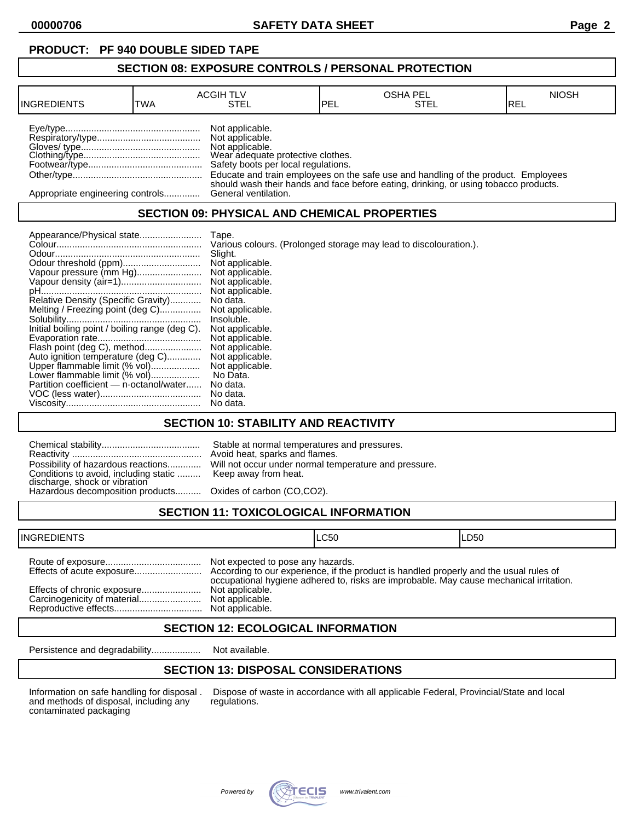# **SECTION 08: EXPOSURE CONTROLS / PERSONAL PROTECTION**

| <b>INGREDIENTS</b>               | TWA | <b>ACGIH TLV</b><br>STEL                                                                                                          | IPEL | <b>OSHA PEL</b><br>STEL                                                                                                                                                    | <b>NIOSH</b><br>IREL |
|----------------------------------|-----|-----------------------------------------------------------------------------------------------------------------------------------|------|----------------------------------------------------------------------------------------------------------------------------------------------------------------------------|----------------------|
|                                  |     | Not applicable.<br>Not applicable.<br>Not applicable.<br>Wear adequate protective clothes.<br>Safety boots per local regulations. |      | Educate and train employees on the safe use and handling of the product. Employees<br>should wash their hands and face before eating, drinking, or using tobacco products. |                      |
| Appropriate engineering controls |     | General ventilation.                                                                                                              |      |                                                                                                                                                                            |                      |

# **SECTION 09: PHYSICAL AND CHEMICAL PROPERTIES**

|                                                | Tape.                                                             |
|------------------------------------------------|-------------------------------------------------------------------|
|                                                | Various colours. (Prolonged storage may lead to discolouration.). |
|                                                | Slight.                                                           |
|                                                | Not applicable.                                                   |
| Vapour pressure (mm Hg)                        | Not applicable.                                                   |
|                                                | Not applicable.                                                   |
|                                                | Not applicable.                                                   |
| Relative Density (Specific Gravity)            | No data.                                                          |
| Melting / Freezing point (deg C)               | Not applicable.                                                   |
|                                                | Insoluble.                                                        |
| Initial boiling point / boiling range (deg C). | Not applicable.                                                   |
|                                                | Not applicable.                                                   |
| Flash point (deg C), method                    | Not applicable.                                                   |
| Auto ignition temperature (deg C)              | Not applicable.                                                   |
| Upper flammable limit (% vol)                  | Not applicable.                                                   |
| Lower flammable limit (% vol)                  | No Data.                                                          |
| Partition coefficient - n-octanol/water        | No data.                                                          |
|                                                | No data.                                                          |
|                                                | No data.                                                          |

## **SECTION 10: STABILITY AND REACTIVITY**

| Conditions to avoid, including static  Keep away from heat.<br>discharge, shock or vibration<br>Hazardous decomposition products Oxides of carbon (CO,CO2). | Stable at normal temperatures and pressures.<br>Avoid heat, sparks and flames.<br>Possibility of hazardous reactions Will not occur under normal temperature and pressure. |
|-------------------------------------------------------------------------------------------------------------------------------------------------------------|----------------------------------------------------------------------------------------------------------------------------------------------------------------------------|
|                                                                                                                                                             |                                                                                                                                                                            |

# **SECTION 11: TOXICOLOGICAL INFORMATION**

| <b>INGREDIENTS</b>          | ILC50                                                |                                                                                         | LD50 |
|-----------------------------|------------------------------------------------------|-----------------------------------------------------------------------------------------|------|
| Effects of chronic exposure | Not expected to pose any hazards.<br>Not applicable. | occupational hygiene adhered to, risks are improbable. May cause mechanical irritation. |      |

## **SECTION 12: ECOLOGICAL INFORMATION**

Persistence and degradability................... Not available.

## **SECTION 13: DISPOSAL CONSIDERATIONS**

and methods of disposal, including any contaminated packaging

Information on safe handling for disposal . Dispose of waste in accordance with all applicable Federal, Provincial/State and local and methods of disposal, including any regulations.